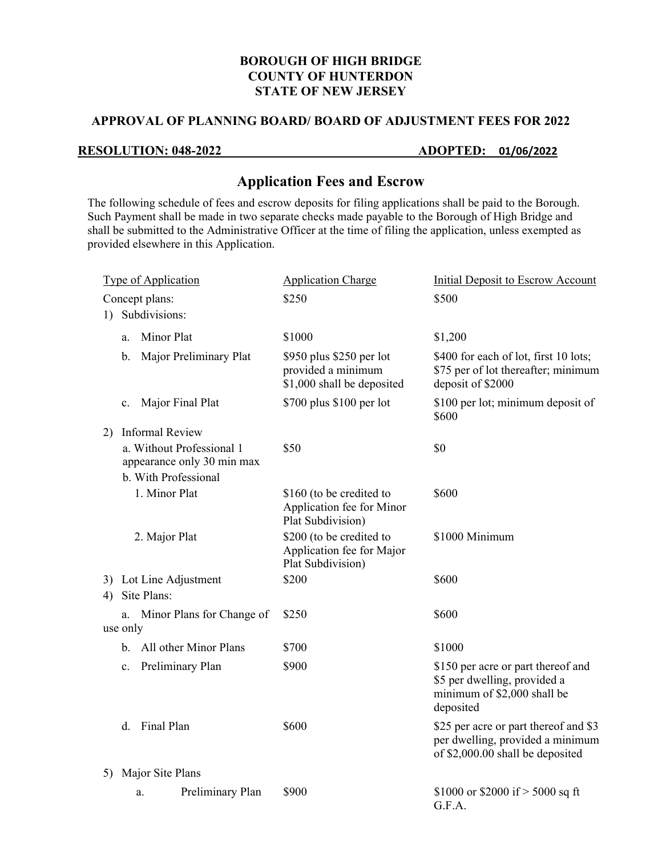#### **BOROUGH OF HIGH BRIDGE COUNTY OF HUNTERDON STATE OF NEW JERSEY**

### **APPROVAL OF PLANNING BOARD/ BOARD OF ADJUSTMENT FEES FOR 2022**

## **RESOLUTION: 048-2022 ADOPTED: 01/06/2022**

# **Application Fees and Escrow**

The following schedule of fees and escrow deposits for filing applications shall be paid to the Borough. Such Payment shall be made in two separate checks made payable to the Borough of High Bridge and shall be submitted to the Administrative Officer at the time of filing the application, unless exempted as provided elsewhere in this Application.

| <b>Type of Application</b> |                                                                                 |                                       | <b>Application Charge</b>                                                    | <b>Initial Deposit to Escrow Account</b>                                                                       |
|----------------------------|---------------------------------------------------------------------------------|---------------------------------------|------------------------------------------------------------------------------|----------------------------------------------------------------------------------------------------------------|
| Concept plans:             |                                                                                 |                                       | \$250                                                                        | \$500                                                                                                          |
| 1)                         | Subdivisions:                                                                   |                                       |                                                                              |                                                                                                                |
|                            | a.                                                                              | Minor Plat                            | \$1000                                                                       | \$1,200                                                                                                        |
|                            | b.                                                                              | Major Preliminary Plat                | \$950 plus \$250 per lot<br>provided a minimum<br>\$1,000 shall be deposited | \$400 for each of lot, first 10 lots;<br>\$75 per of lot thereafter; minimum<br>deposit of \$2000              |
|                            | c.                                                                              | Major Final Plat                      | \$700 plus \$100 per lot                                                     | \$100 per lot; minimum deposit of<br>\$600                                                                     |
| 2)                         |                                                                                 | <b>Informal Review</b>                |                                                                              |                                                                                                                |
|                            | a. Without Professional 1<br>appearance only 30 min max<br>b. With Professional |                                       | \$50                                                                         | \$0                                                                                                            |
|                            |                                                                                 |                                       |                                                                              |                                                                                                                |
|                            |                                                                                 | 1. Minor Plat                         | \$160 (to be credited to<br>Application fee for Minor<br>Plat Subdivision)   | \$600                                                                                                          |
|                            |                                                                                 | 2. Major Plat                         | \$200 (to be credited to<br>Application fee for Major<br>Plat Subdivision)   | \$1000 Minimum                                                                                                 |
| 4)                         |                                                                                 | 3) Lot Line Adjustment<br>Site Plans: | \$200                                                                        | \$600                                                                                                          |
|                            | a.                                                                              | Minor Plans for Change of             | \$250                                                                        | \$600                                                                                                          |
| use only                   |                                                                                 |                                       |                                                                              |                                                                                                                |
|                            |                                                                                 | b. All other Minor Plans              | \$700                                                                        | \$1000                                                                                                         |
|                            | $\mathbf{c}$ .                                                                  | Preliminary Plan                      | \$900                                                                        | \$150 per acre or part thereof and<br>\$5 per dwelling, provided a<br>minimum of \$2,000 shall be<br>deposited |
|                            |                                                                                 | d. Final Plan                         | \$600                                                                        | \$25 per acre or part thereof and \$3<br>per dwelling, provided a minimum<br>of \$2,000.00 shall be deposited  |
| Major Site Plans<br>5)     |                                                                                 |                                       |                                                                              |                                                                                                                |
|                            |                                                                                 | Preliminary Plan<br>a.                | \$900                                                                        | \$1000 or \$2000 if $>$ 5000 sq ft<br>G.F.A.                                                                   |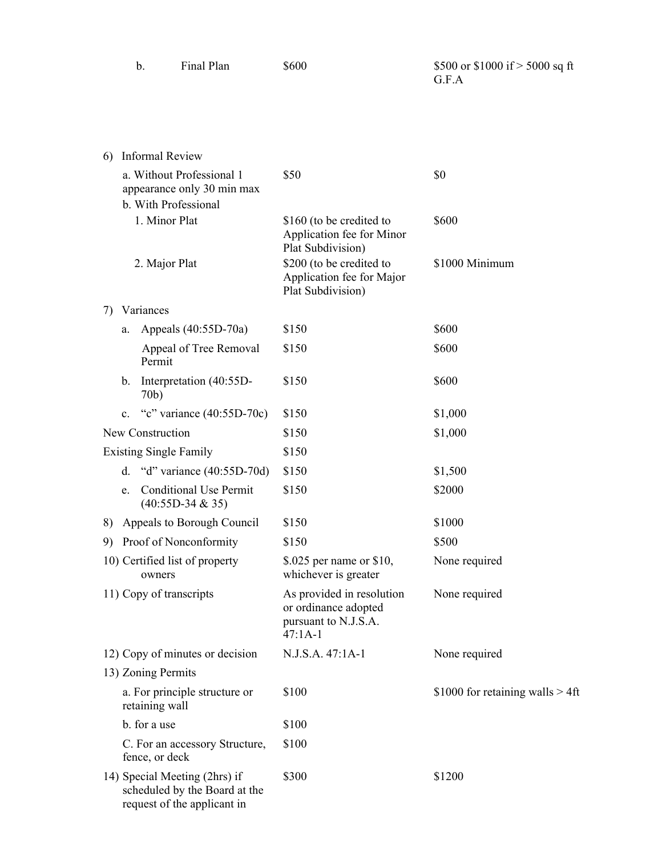|  | Final Plan | \$600 | \$500 or \$1000 if $>$ 5000 sq ft<br>G.F.A |
|--|------------|-------|--------------------------------------------|
|  |            |       |                                            |

| 6)                                                                                            | <b>Informal Review</b>                                                          |                                                                                        |                                     |
|-----------------------------------------------------------------------------------------------|---------------------------------------------------------------------------------|----------------------------------------------------------------------------------------|-------------------------------------|
|                                                                                               | a. Without Professional 1<br>appearance only 30 min max<br>b. With Professional | \$50                                                                                   | \$0                                 |
|                                                                                               | 1. Minor Plat                                                                   | \$160 (to be credited to<br>Application fee for Minor<br>Plat Subdivision)             | \$600                               |
|                                                                                               | 2. Major Plat                                                                   | \$200 (to be credited to<br>Application fee for Major<br>Plat Subdivision)             | \$1000 Minimum                      |
| 7)                                                                                            | Variances                                                                       |                                                                                        |                                     |
|                                                                                               | Appeals (40:55D-70a)<br>a.                                                      | \$150                                                                                  | \$600                               |
|                                                                                               | Appeal of Tree Removal<br>Permit                                                | \$150                                                                                  | \$600                               |
|                                                                                               | Interpretation (40:55D-<br>b.<br>70b)                                           | \$150                                                                                  | \$600                               |
|                                                                                               | "c" variance $(40:55D-70c)$<br>$\mathbf{c}$ .                                   | \$150                                                                                  | \$1,000                             |
|                                                                                               | New Construction                                                                | \$150                                                                                  | \$1,000                             |
|                                                                                               | <b>Existing Single Family</b>                                                   | \$150                                                                                  |                                     |
|                                                                                               | "d" variance $(40:55D-70d)$<br>d.                                               | \$150                                                                                  | \$1,500                             |
|                                                                                               | <b>Conditional Use Permit</b><br>e.<br>$(40:55D-34 & 35)$                       | \$150                                                                                  | \$2000                              |
|                                                                                               | 8) Appeals to Borough Council                                                   | \$150                                                                                  | \$1000                              |
| 9)                                                                                            | Proof of Nonconformity                                                          | \$150                                                                                  | \$500                               |
|                                                                                               | 10) Certified list of property<br>owners                                        | \$.025 per name or \$10,<br>whichever is greater                                       | None required                       |
|                                                                                               | 11) Copy of transcripts                                                         | As provided in resolution<br>or ordinance adopted<br>pursuant to N.J.S.A.<br>$47:1A-1$ | None required                       |
|                                                                                               | 12) Copy of minutes or decision                                                 | N.J.S.A. 47:1A-1                                                                       | None required                       |
|                                                                                               | 13) Zoning Permits                                                              |                                                                                        |                                     |
|                                                                                               | a. For principle structure or<br>retaining wall                                 | \$100                                                                                  | \$1000 for retaining walls $> 4$ ft |
|                                                                                               | b. for a use                                                                    | \$100                                                                                  |                                     |
|                                                                                               | C. For an accessory Structure,<br>fence, or deck                                | \$100                                                                                  |                                     |
| 14) Special Meeting (2hrs) if<br>scheduled by the Board at the<br>request of the applicant in |                                                                                 | \$300                                                                                  | \$1200                              |